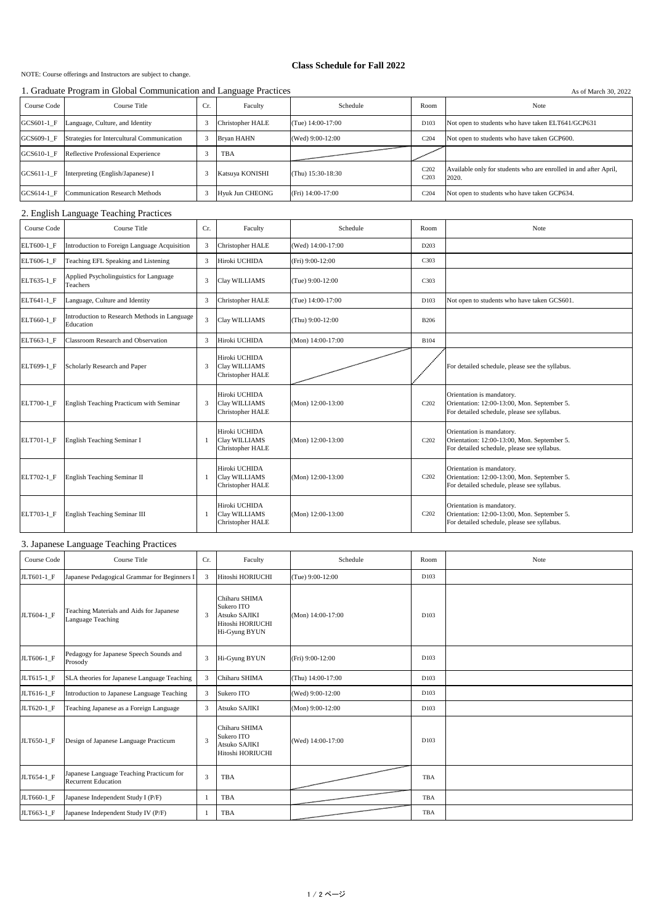NOTE: Course offerings and Instructors are subject to change.

## **Class Schedule for Fall 2022**

1. Graduate Program in Global Communication and Language Practices As of March 30, 2022

| Course Code | Course Title                               | Cr. | Faculty                 | Schedule          | Room                     | Note                                                                      |  |  |
|-------------|--------------------------------------------|-----|-------------------------|-------------------|--------------------------|---------------------------------------------------------------------------|--|--|
| GCS601-1 F  | Language, Culture, and Identity            |     | <b>Christopher HALE</b> | (Tue) 14:00-17:00 | D <sub>103</sub>         | Not open to students who have taken ELT641/GCP631                         |  |  |
| GCS609-1 F  | Strategies for Intercultural Communication |     | <b>Bryan HAHN</b>       | (Wed) 9:00-12:00  | C <sub>204</sub>         | Not open to students who have taken GCP600.                               |  |  |
| GCS610-1 F  | Reflective Professional Experience         |     | TBA                     |                   |                          |                                                                           |  |  |
| GCS611-1 F  | Interpreting (English/Japanese) I          |     | Katsuya KONISHI         | (Thu) 15:30-18:30 | C202<br>C <sub>203</sub> | Available only for students who are enrolled in and after April,<br>2020. |  |  |
| GCS614-1 F  | Communication Research Methods             |     | <b>Hyuk Jun CHEONG</b>  | (Fri) 14:00-17:00 | C <sub>204</sub>         | Not open to students who have taken GCP634.                               |  |  |

## 2. English Language Teaching Practices

| Course Code | Course Title                                              | Cr. | Faculty                                                   | Schedule          | Room                          | Note                                                                                                                    |
|-------------|-----------------------------------------------------------|-----|-----------------------------------------------------------|-------------------|-------------------------------|-------------------------------------------------------------------------------------------------------------------------|
| ELT600-1 F  | Introduction to Foreign Language Acquisition              |     | <b>Christopher HALE</b>                                   | (Wed) 14:00-17:00 | D <sub>203</sub>              |                                                                                                                         |
| ELT606-1 F  | Teaching EFL Speaking and Listening                       | 3   | Hiroki UCHIDA                                             | (Fri) 9:00-12:00  | C303                          |                                                                                                                         |
| ELT635-1 F  | Applied Psycholinguistics for Language<br>Teachers        | 3   | Clay WILLIAMS                                             | (Tue) 9:00-12:00  | C303                          |                                                                                                                         |
| ELT641-1 F  | Language, Culture and Identity                            | 3   | <b>Christopher HALE</b>                                   | (Tue) 14:00-17:00 | D <sub>103</sub>              | Not open to students who have taken GCS601.                                                                             |
| ELT660-1_F  | Introduction to Research Methods in Language<br>Education |     | Clay WILLIAMS                                             | (Thu) 9:00-12:00  | <b>B206</b>                   |                                                                                                                         |
| ELT663-1 F  | Classroom Research and Observation                        | 3   | Hiroki UCHIDA                                             | (Mon) 14:00-17:00 | <b>B104</b>                   |                                                                                                                         |
| ELT699-1 F  | Scholarly Research and Paper                              | 3   | Hiroki UCHIDA<br>Clay WILLIAMS<br>Christopher HALE        |                   |                               | For detailed schedule, please see the syllabus.                                                                         |
| ELT700-1 F  | English Teaching Practicum with Seminar                   | 3   | Hiroki UCHIDA<br>Clay WILLIAMS<br><b>Christopher HALE</b> | (Mon) 12:00-13:00 | C <sub>2</sub> 0 <sub>2</sub> | Orientation is mandatory.<br>Orientation: 12:00-13:00, Mon. September 5.<br>For detailed schedule, please see syllabus. |
| ELT701-1 F  | English Teaching Seminar I                                |     | Hiroki UCHIDA<br>Clay WILLIAMS<br><b>Christopher HALE</b> | (Mon) 12:00-13:00 | C <sub>2</sub> 0 <sub>2</sub> | Orientation is mandatory.<br>Orientation: 12:00-13:00, Mon. September 5.<br>For detailed schedule, please see syllabus. |
| ELT702-1 F  | English Teaching Seminar II                               |     | Hiroki UCHIDA<br>Clay WILLIAMS<br><b>Christopher HALE</b> | (Mon) 12:00-13:00 | C <sub>2</sub> 0 <sub>2</sub> | Orientation is mandatory.<br>Orientation: 12:00-13:00, Mon. September 5.<br>For detailed schedule, please see syllabus. |
| ELT703-1 F  | English Teaching Seminar III                              |     | Hiroki UCHIDA<br>Clay WILLIAMS<br><b>Christopher HALE</b> | (Mon) 12:00-13:00 | C <sub>2</sub> 0 <sub>2</sub> | Orientation is mandatory.<br>Orientation: 12:00-13:00, Mon. September 5.<br>For detailed schedule, please see syllabus. |

## 3. Japanese Language Teaching Practices

| Course Code | Course Title                                                           | Cr. | Faculty                                                                                  | Schedule           | Room       | Note |
|-------------|------------------------------------------------------------------------|-----|------------------------------------------------------------------------------------------|--------------------|------------|------|
| JLT601-1 F  | Japanese Pedagogical Grammar for Beginners I                           | 3   | Hitoshi HORIUCHI                                                                         | (Tue) 9:00-12:00   | D103       |      |
| JLT604-1 F  | Teaching Materials and Aids for Japanese<br>Language Teaching          | 3   | Chiharu SHIMA<br>Sukero ITO<br><b>Atsuko SAJIKI</b><br>Hitoshi HORIUCHI<br>Hi-Gyung BYUN | (Mon) 14:00-17:00  | D103       |      |
| JLT606-1 F  | Pedagogy for Japanese Speech Sounds and<br>Prosody                     | 3   | Hi-Gyung BYUN                                                                            | (Fri) 9:00-12:00   | D103       |      |
| JLT615-1_F  | SLA theories for Japanese Language Teaching                            |     | Chiharu SHIMA                                                                            | (Thu) 14:00-17:00  | D103       |      |
| JLT616-1 F  | Introduction to Japanese Language Teaching                             | 3   | Sukero ITO                                                                               | (Wed) 9:00-12:00   | D103       |      |
| JLT620-1_F  | Teaching Japanese as a Foreign Language                                | 3   | <b>Atsuko SAJIKI</b>                                                                     | $(Mon)$ 9:00-12:00 | D103       |      |
| JLT650-1 F  | Design of Japanese Language Practicum                                  | 3   | Chiharu SHIMA<br>Sukero ITO<br><b>Atsuko SAJIKI</b><br>Hitoshi HORIUCHI                  | (Wed) 14:00-17:00  | D103       |      |
| JLT654-1 F  | Japanese Language Teaching Practicum for<br><b>Recurrent Education</b> | 3   | <b>TBA</b>                                                                               |                    | TBA        |      |
| JLT660-1_F  | Japanese Independent Study I (P/F)                                     |     | TBA                                                                                      |                    | TBA        |      |
| JLT663-1_F  | Japanese Independent Study IV (P/F)                                    |     | <b>TBA</b>                                                                               |                    | <b>TBA</b> |      |